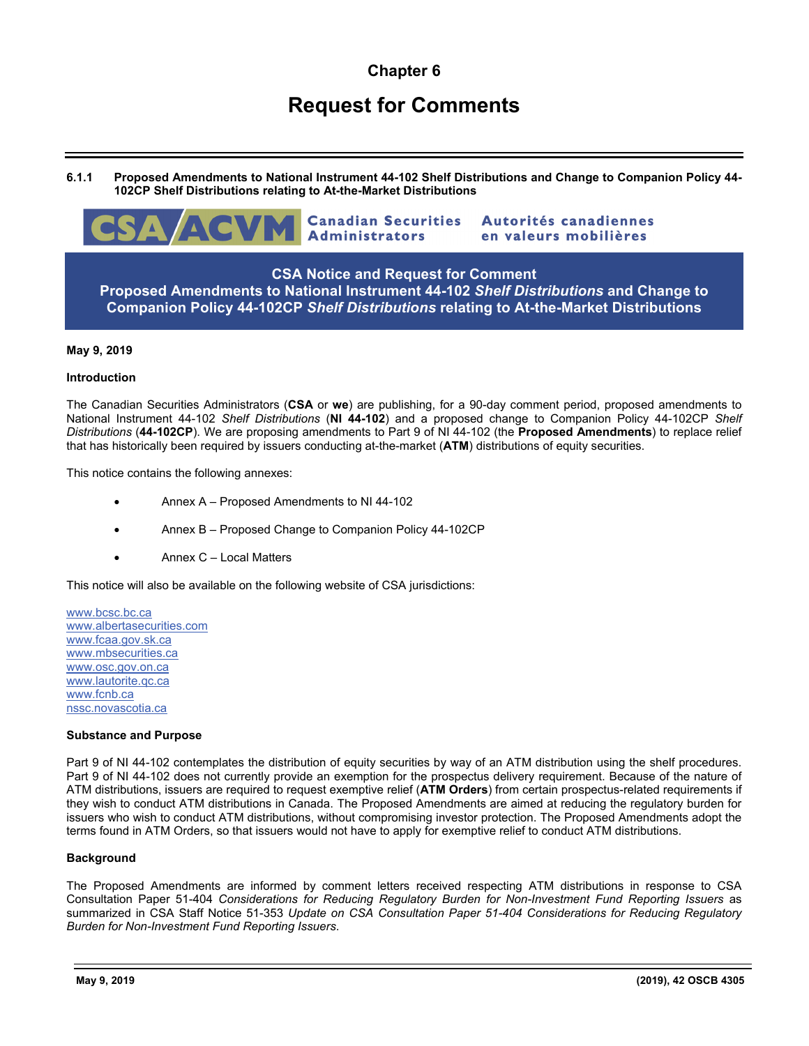# **Chapter 6**

# **Request for Comments**

**6.1.1 Proposed Amendments to National Instrument 44-102 Shelf Distributions and Change to Companion Policy 44- 102CP Shelf Distributions relating to At-the-Market Distributions** 

**Canadian Securities** 

Autorités canadiennes

**Administrators** en valeurs mobilières **CSA Notice and Request for Comment** 

**Proposed Amendments to National Instrument 44-102** *Shelf Distributions* **and Change to Companion Policy 44-102CP** *Shelf Distributions* **relating to At-the-Market Distributions** 

# **May 9, 2019**

### **Introduction**

The Canadian Securities Administrators (**CSA** or **we**) are publishing, for a 90-day comment period, proposed amendments to National Instrument 44-102 *Shelf Distributions* (**NI 44-102**) and a proposed change to Companion Policy 44-102CP *Shelf Distributions* (**44-102CP**). We are proposing amendments to Part 9 of NI 44-102 (the **Proposed Amendments**) to replace relief that has historically been required by issuers conducting at-the-market (**ATM**) distributions of equity securities.

This notice contains the following annexes:

- Annex A Proposed Amendments to NI 44-102
- Annex B Proposed Change to Companion Policy 44-102CP
- Annex C Local Matters

This notice will also be available on the following website of CSA jurisdictions:

www.bcsc.bc.ca www.albertasecurities.com www.fcaa.gov.sk.ca www.mbsecurities.ca www.osc.gov.on.ca www.lautorite.qc.ca www.fcnb.ca nssc.novascotia.ca

#### **Substance and Purpose**

Part 9 of NI 44-102 contemplates the distribution of equity securities by way of an ATM distribution using the shelf procedures. Part 9 of NI 44-102 does not currently provide an exemption for the prospectus delivery requirement. Because of the nature of ATM distributions, issuers are required to request exemptive relief (**ATM Orders**) from certain prospectus-related requirements if they wish to conduct ATM distributions in Canada. The Proposed Amendments are aimed at reducing the regulatory burden for issuers who wish to conduct ATM distributions, without compromising investor protection. The Proposed Amendments adopt the terms found in ATM Orders, so that issuers would not have to apply for exemptive relief to conduct ATM distributions.

# **Background**

The Proposed Amendments are informed by comment letters received respecting ATM distributions in response to CSA Consultation Paper 51-404 *Considerations for Reducing Regulatory Burden for Non-Investment Fund Reporting Issuers* as summarized in CSA Staff Notice 51-353 *Update on CSA Consultation Paper 51-404 Considerations for Reducing Regulatory Burden for Non-Investment Fund Reporting Issuers*.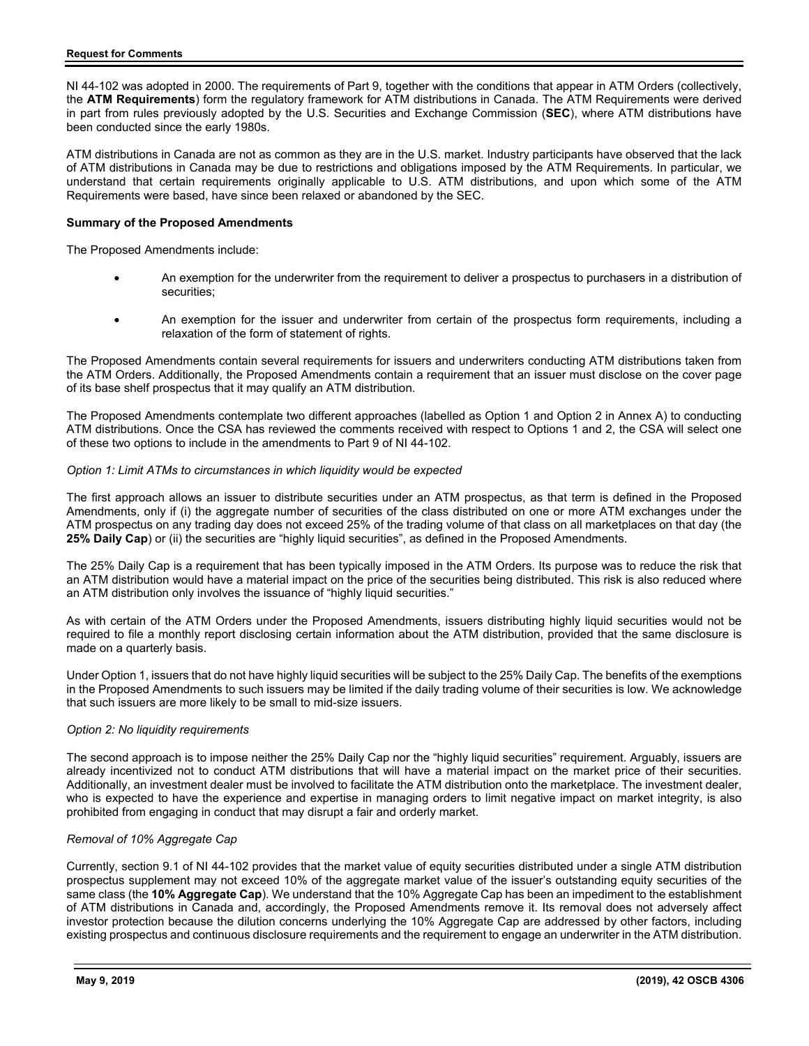NI 44-102 was adopted in 2000. The requirements of Part 9, together with the conditions that appear in ATM Orders (collectively, the **ATM Requirements**) form the regulatory framework for ATM distributions in Canada. The ATM Requirements were derived in part from rules previously adopted by the U.S. Securities and Exchange Commission (**SEC**), where ATM distributions have been conducted since the early 1980s.

ATM distributions in Canada are not as common as they are in the U.S. market. Industry participants have observed that the lack of ATM distributions in Canada may be due to restrictions and obligations imposed by the ATM Requirements. In particular, we understand that certain requirements originally applicable to U.S. ATM distributions, and upon which some of the ATM Requirements were based, have since been relaxed or abandoned by the SEC.

# **Summary of the Proposed Amendments**

The Proposed Amendments include:

- An exemption for the underwriter from the requirement to deliver a prospectus to purchasers in a distribution of securities;
- An exemption for the issuer and underwriter from certain of the prospectus form requirements, including a relaxation of the form of statement of rights.

The Proposed Amendments contain several requirements for issuers and underwriters conducting ATM distributions taken from the ATM Orders. Additionally, the Proposed Amendments contain a requirement that an issuer must disclose on the cover page of its base shelf prospectus that it may qualify an ATM distribution.

The Proposed Amendments contemplate two different approaches (labelled as Option 1 and Option 2 in Annex A) to conducting ATM distributions. Once the CSA has reviewed the comments received with respect to Options 1 and 2, the CSA will select one of these two options to include in the amendments to Part 9 of NI 44-102.

# *Option 1: Limit ATMs to circumstances in which liquidity would be expected*

The first approach allows an issuer to distribute securities under an ATM prospectus, as that term is defined in the Proposed Amendments, only if (i) the aggregate number of securities of the class distributed on one or more ATM exchanges under the ATM prospectus on any trading day does not exceed 25% of the trading volume of that class on all marketplaces on that day (the **25% Daily Cap**) or (ii) the securities are "highly liquid securities", as defined in the Proposed Amendments.

The 25% Daily Cap is a requirement that has been typically imposed in the ATM Orders. Its purpose was to reduce the risk that an ATM distribution would have a material impact on the price of the securities being distributed. This risk is also reduced where an ATM distribution only involves the issuance of "highly liquid securities."

As with certain of the ATM Orders under the Proposed Amendments, issuers distributing highly liquid securities would not be required to file a monthly report disclosing certain information about the ATM distribution, provided that the same disclosure is made on a quarterly basis.

Under Option 1, issuers that do not have highly liquid securities will be subject to the 25% Daily Cap. The benefits of the exemptions in the Proposed Amendments to such issuers may be limited if the daily trading volume of their securities is low. We acknowledge that such issuers are more likely to be small to mid-size issuers.

# *Option 2: No liquidity requirements*

The second approach is to impose neither the 25% Daily Cap nor the "highly liquid securities" requirement. Arguably, issuers are already incentivized not to conduct ATM distributions that will have a material impact on the market price of their securities. Additionally, an investment dealer must be involved to facilitate the ATM distribution onto the marketplace. The investment dealer, who is expected to have the experience and expertise in managing orders to limit negative impact on market integrity, is also prohibited from engaging in conduct that may disrupt a fair and orderly market.

# *Removal of 10% Aggregate Cap*

Currently, section 9.1 of NI 44-102 provides that the market value of equity securities distributed under a single ATM distribution prospectus supplement may not exceed 10% of the aggregate market value of the issuer's outstanding equity securities of the same class (the **10% Aggregate Cap**). We understand that the 10% Aggregate Cap has been an impediment to the establishment of ATM distributions in Canada and, accordingly, the Proposed Amendments remove it. Its removal does not adversely affect investor protection because the dilution concerns underlying the 10% Aggregate Cap are addressed by other factors, including existing prospectus and continuous disclosure requirements and the requirement to engage an underwriter in the ATM distribution.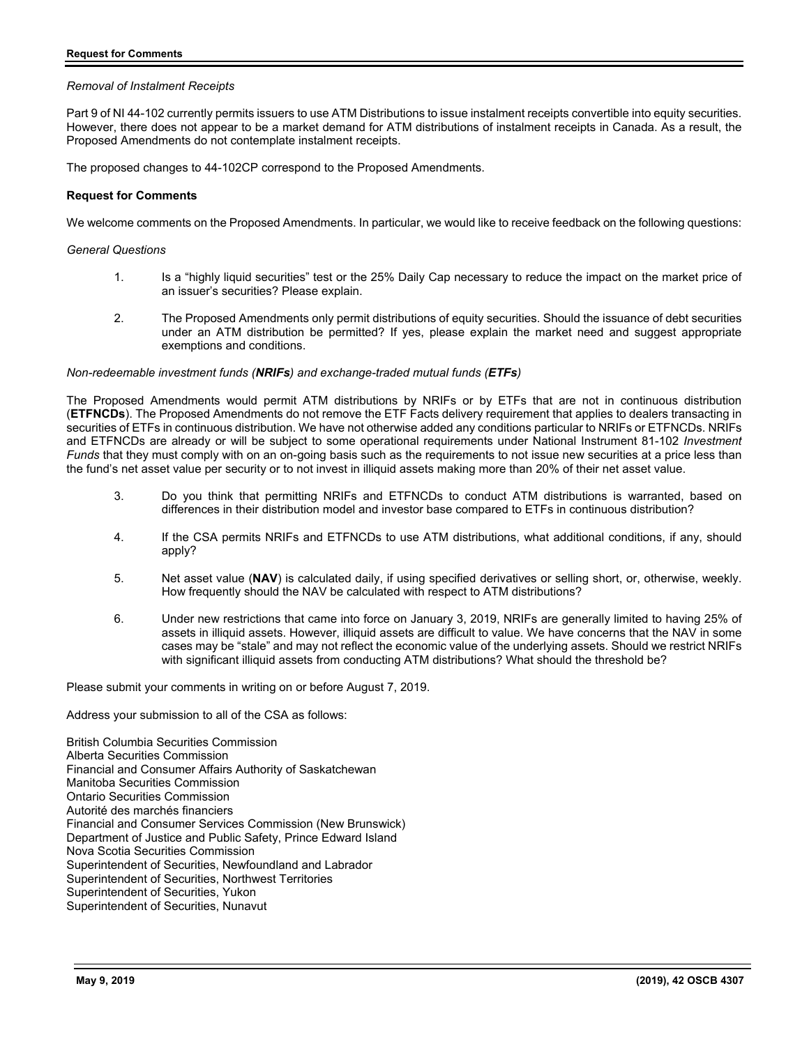# *Removal of Instalment Receipts*

Part 9 of NI 44-102 currently permits issuers to use ATM Distributions to issue instalment receipts convertible into equity securities. However, there does not appear to be a market demand for ATM distributions of instalment receipts in Canada. As a result, the Proposed Amendments do not contemplate instalment receipts.

The proposed changes to 44-102CP correspond to the Proposed Amendments.

# **Request for Comments**

We welcome comments on the Proposed Amendments. In particular, we would like to receive feedback on the following questions:

# *General Questions*

- 1. Is a "highly liquid securities" test or the 25% Daily Cap necessary to reduce the impact on the market price of an issuer's securities? Please explain.
- 2. The Proposed Amendments only permit distributions of equity securities. Should the issuance of debt securities under an ATM distribution be permitted? If yes, please explain the market need and suggest appropriate exemptions and conditions.

# *Non-redeemable investment funds (NRIFs) and exchange-traded mutual funds (ETFs)*

The Proposed Amendments would permit ATM distributions by NRIFs or by ETFs that are not in continuous distribution (**ETFNCDs**). The Proposed Amendments do not remove the ETF Facts delivery requirement that applies to dealers transacting in securities of ETFs in continuous distribution. We have not otherwise added any conditions particular to NRIFs or ETFNCDs. NRIFs and ETFNCDs are already or will be subject to some operational requirements under National Instrument 81-102 *Investment Funds* that they must comply with on an on-going basis such as the requirements to not issue new securities at a price less than the fund's net asset value per security or to not invest in illiquid assets making more than 20% of their net asset value.

- 3. Do you think that permitting NRIFs and ETFNCDs to conduct ATM distributions is warranted, based on differences in their distribution model and investor base compared to ETFs in continuous distribution?
- 4. If the CSA permits NRIFs and ETFNCDs to use ATM distributions, what additional conditions, if any, should apply?
- 5. Net asset value (**NAV**) is calculated daily, if using specified derivatives or selling short, or, otherwise, weekly. How frequently should the NAV be calculated with respect to ATM distributions?
- 6. Under new restrictions that came into force on January 3, 2019, NRIFs are generally limited to having 25% of assets in illiquid assets. However, illiquid assets are difficult to value. We have concerns that the NAV in some cases may be "stale" and may not reflect the economic value of the underlying assets. Should we restrict NRIFs with significant illiquid assets from conducting ATM distributions? What should the threshold be?

Please submit your comments in writing on or before August 7, 2019.

Address your submission to all of the CSA as follows:

British Columbia Securities Commission Alberta Securities Commission Financial and Consumer Affairs Authority of Saskatchewan Manitoba Securities Commission Ontario Securities Commission Autorité des marchés financiers Financial and Consumer Services Commission (New Brunswick) Department of Justice and Public Safety, Prince Edward Island Nova Scotia Securities Commission Superintendent of Securities, Newfoundland and Labrador Superintendent of Securities, Northwest Territories Superintendent of Securities, Yukon Superintendent of Securities, Nunavut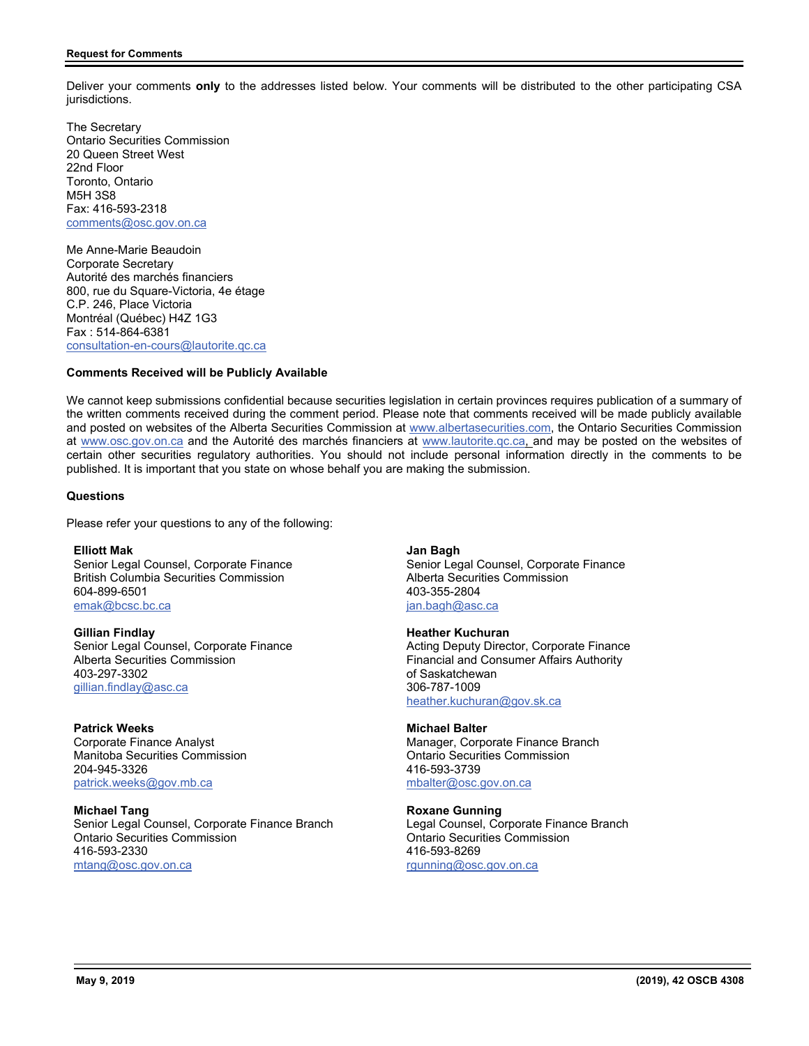Deliver your comments **only** to the addresses listed below. Your comments will be distributed to the other participating CSA jurisdictions.

The Secretary Ontario Securities Commission 20 Queen Street West 22nd Floor Toronto, Ontario M5H 3S8 Fax: 416-593-2318 comments@osc.gov.on.ca

Me Anne-Marie Beaudoin Corporate Secretary Autorité des marchés financiers 800, rue du Square-Victoria, 4e étage C.P. 246, Place Victoria Montréal (Québec) H4Z 1G3 Fax : 514-864-6381 consultation-en-cours@lautorite.qc.ca

# **Comments Received will be Publicly Available**

We cannot keep submissions confidential because securities legislation in certain provinces requires publication of a summary of the written comments received during the comment period. Please note that comments received will be made publicly available and posted on websites of the Alberta Securities Commission at www.albertasecurities.com, the Ontario Securities Commission at www.osc.gov.on.ca and the Autorité des marchés financiers at www.lautorite.gc.ca, and may be posted on the websites of certain other securities regulatory authorities. You should not include personal information directly in the comments to be published. It is important that you state on whose behalf you are making the submission.

# **Questions**

Please refer your questions to any of the following:

**Elliott Mak**  Senior Legal Counsel, Corporate Finance British Columbia Securities Commission 604-899-6501 emak@bcsc.bc.ca

**Gillian Findlay**  Senior Legal Counsel, Corporate Finance Alberta Securities Commission 403-297-3302 gillian.findlay@asc.ca

**Patrick Weeks** Corporate Finance Analyst Manitoba Securities Commission 204-945-3326 patrick.weeks@gov.mb.ca

**Michael Tang** Senior Legal Counsel, Corporate Finance Branch Ontario Securities Commission 416-593-2330 mtang@osc.gov.on.ca

# **Jan Bagh**

Senior Legal Counsel, Corporate Finance Alberta Securities Commission 403-355-2804 jan.bagh@asc.ca

# **Heather Kuchuran**

Acting Deputy Director, Corporate Finance Financial and Consumer Affairs Authority of Saskatchewan 306-787-1009 heather.kuchuran@gov.sk.ca

#### **Michael Balter**

Manager, Corporate Finance Branch Ontario Securities Commission 416-593-3739 mbalter@osc.gov.on.ca

**Roxane Gunning** Legal Counsel, Corporate Finance Branch Ontario Securities Commission 416-593-8269 rgunning@osc.gov.on.ca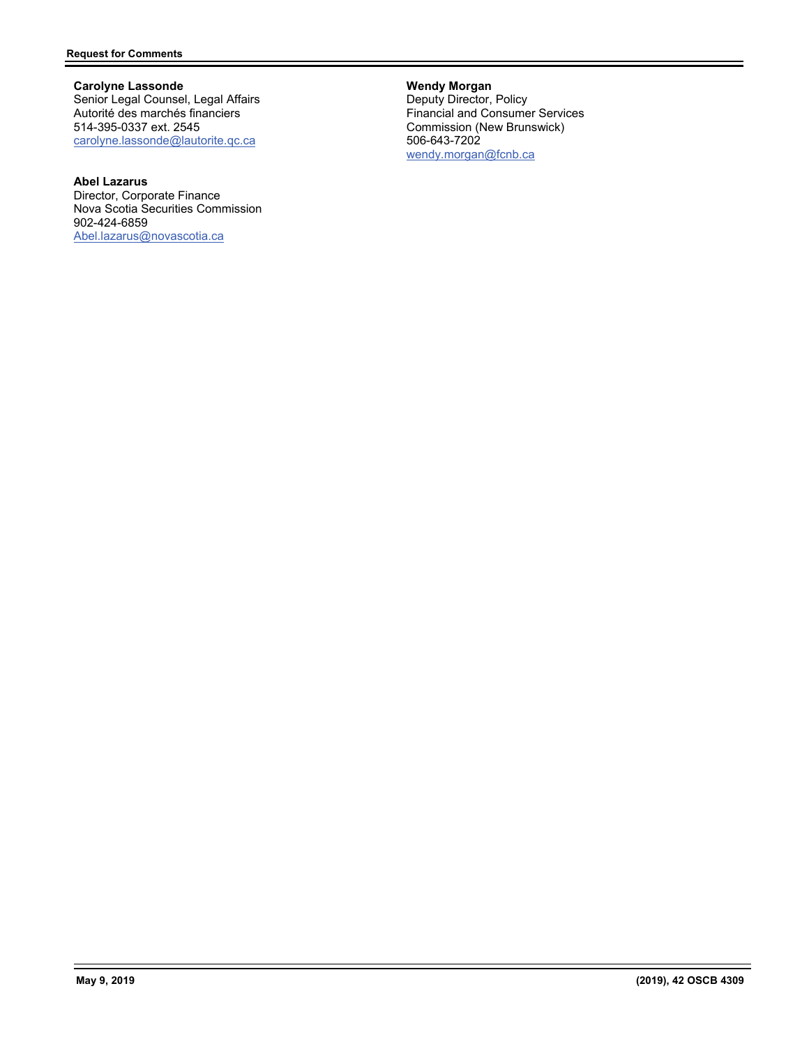**Carolyne Lassonde** Senior Legal Counsel, Legal Affairs Autorité des marchés financiers 514-395-0337 ext. 2545 carolyne.lassonde@lautorite.qc.ca

# **Abel Lazarus**

Director, Corporate Finance Nova Scotia Securities Commission 902-424-6859 Abel.lazarus@novascotia.ca

**Wendy Morgan**  Deputy Director, Policy Financial and Consumer Services Commission (New Brunswick) 506-643-7202 wendy.morgan@fcnb.ca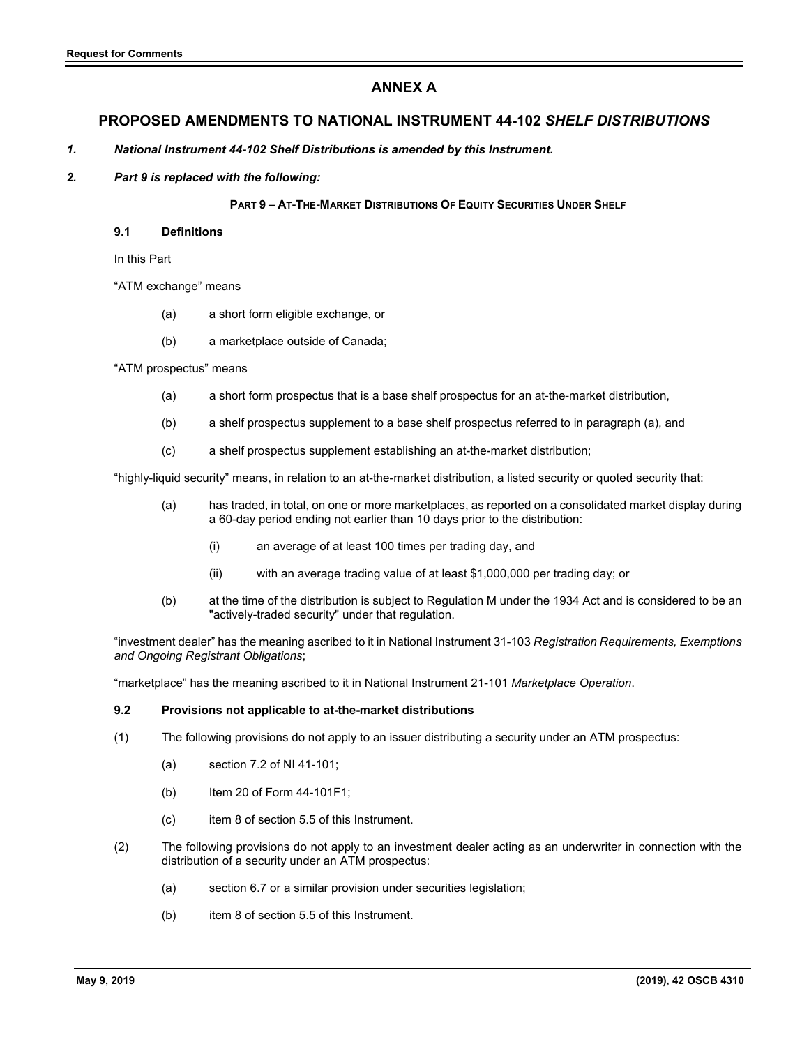# **ANNEX A**

# **PROPOSED AMENDMENTS TO NATIONAL INSTRUMENT 44-102** *SHELF DISTRIBUTIONS*

*1. National Instrument 44-102 Shelf Distributions is amended by this Instrument.* 

# *2. Part 9 is replaced with the following:*

# **PART 9 – AT-THE-MARKET DISTRIBUTIONS OF EQUITY SECURITIES UNDER SHELF**

# **9.1 Definitions**

In this Part

"ATM exchange" means

- (a) a short form eligible exchange, or
- (b) a marketplace outside of Canada;

### "ATM prospectus" means

- (a) a short form prospectus that is a base shelf prospectus for an at-the-market distribution,
- (b) a shelf prospectus supplement to a base shelf prospectus referred to in paragraph (a), and
- (c) a shelf prospectus supplement establishing an at-the-market distribution;

"highly-liquid security" means, in relation to an at-the-market distribution, a listed security or quoted security that:

- (a) has traded, in total, on one or more marketplaces, as reported on a consolidated market display during a 60-day period ending not earlier than 10 days prior to the distribution:
	- (i) an average of at least 100 times per trading day, and
	- (ii) with an average trading value of at least \$1,000,000 per trading day; or
- (b) at the time of the distribution is subject to Regulation M under the 1934 Act and is considered to be an "actively-traded security" under that regulation.

"investment dealer" has the meaning ascribed to it in National Instrument 31-103 *Registration Requirements, Exemptions and Ongoing Registrant Obligations*;

"marketplace" has the meaning ascribed to it in National Instrument 21-101 *Marketplace Operation*.

#### **9.2 Provisions not applicable to at-the-market distributions**

- (1) The following provisions do not apply to an issuer distributing a security under an ATM prospectus:
	- (a) section 7.2 of NI 41-101;
	- (b) Item 20 of Form 44-101F1;
	- (c) item 8 of section 5.5 of this Instrument.
- (2) The following provisions do not apply to an investment dealer acting as an underwriter in connection with the distribution of a security under an ATM prospectus:
	- (a) section 6.7 or a similar provision under securities legislation;
	- (b) item 8 of section 5.5 of this Instrument.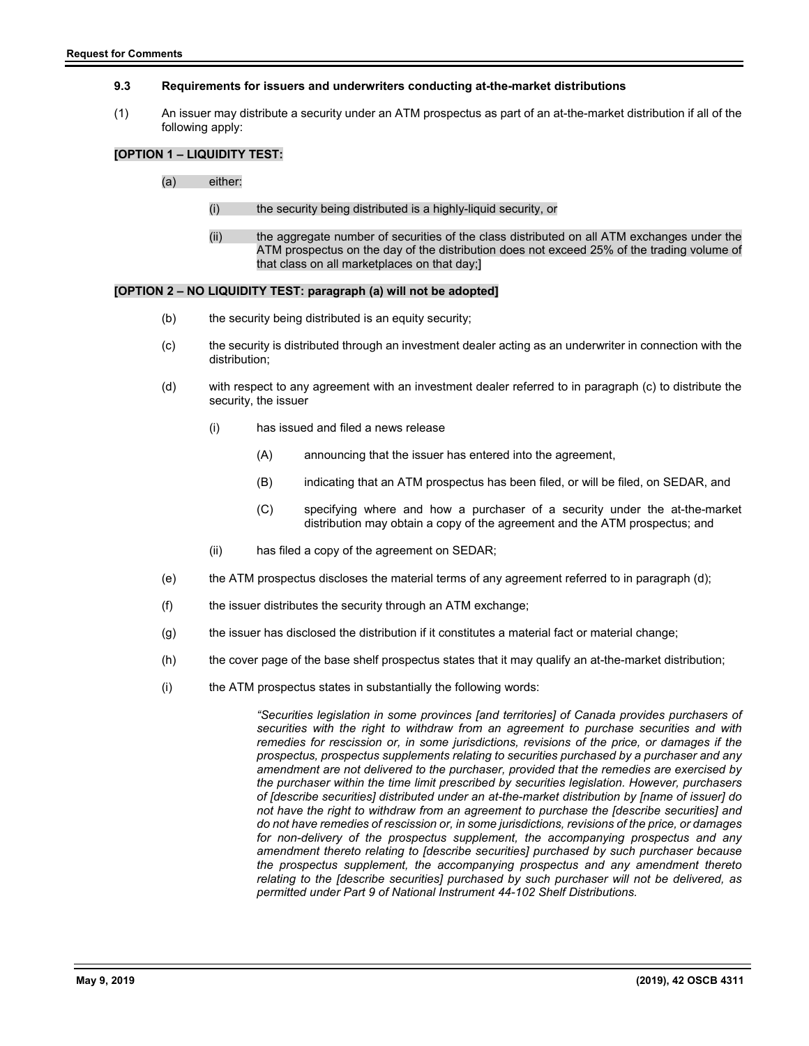### **9.3 Requirements for issuers and underwriters conducting at-the-market distributions**

(1) An issuer may distribute a security under an ATM prospectus as part of an at-the-market distribution if all of the following apply:

### **[OPTION 1 – LIQUIDITY TEST:**

- (a) either:
	- (i) the security being distributed is a highly-liquid security, or
	- (ii) the aggregate number of securities of the class distributed on all ATM exchanges under the ATM prospectus on the day of the distribution does not exceed 25% of the trading volume of that class on all marketplaces on that day;]

# **[OPTION 2 – NO LIQUIDITY TEST: paragraph (a) will not be adopted]**

- (b) the security being distributed is an equity security;
- (c) the security is distributed through an investment dealer acting as an underwriter in connection with the distribution;
- (d) with respect to any agreement with an investment dealer referred to in paragraph (c) to distribute the security, the issuer
	- (i) has issued and filed a news release
		- (A) announcing that the issuer has entered into the agreement,
		- (B) indicating that an ATM prospectus has been filed, or will be filed, on SEDAR, and
		- (C) specifying where and how a purchaser of a security under the at-the-market distribution may obtain a copy of the agreement and the ATM prospectus; and
	- (ii) has filed a copy of the agreement on SEDAR;
- (e) the ATM prospectus discloses the material terms of any agreement referred to in paragraph (d);
- (f) the issuer distributes the security through an ATM exchange;
- (g) the issuer has disclosed the distribution if it constitutes a material fact or material change;
- (h) the cover page of the base shelf prospectus states that it may qualify an at-the-market distribution;
- (i) the ATM prospectus states in substantially the following words:

*"Securities legislation in some provinces [and territories] of Canada provides purchasers of securities with the right to withdraw from an agreement to purchase securities and with remedies for rescission or, in some jurisdictions, revisions of the price, or damages if the prospectus, prospectus supplements relating to securities purchased by a purchaser and any amendment are not delivered to the purchaser, provided that the remedies are exercised by the purchaser within the time limit prescribed by securities legislation. However, purchasers of [describe securities] distributed under an at-the-market distribution by [name of issuer] do not have the right to withdraw from an agreement to purchase the [describe securities] and do not have remedies of rescission or, in some jurisdictions, revisions of the price, or damages for non-delivery of the prospectus supplement, the accompanying prospectus and any amendment thereto relating to [describe securities] purchased by such purchaser because the prospectus supplement, the accompanying prospectus and any amendment thereto relating to the [describe securities] purchased by such purchaser will not be delivered, as permitted under Part 9 of National Instrument 44-102 Shelf Distributions.*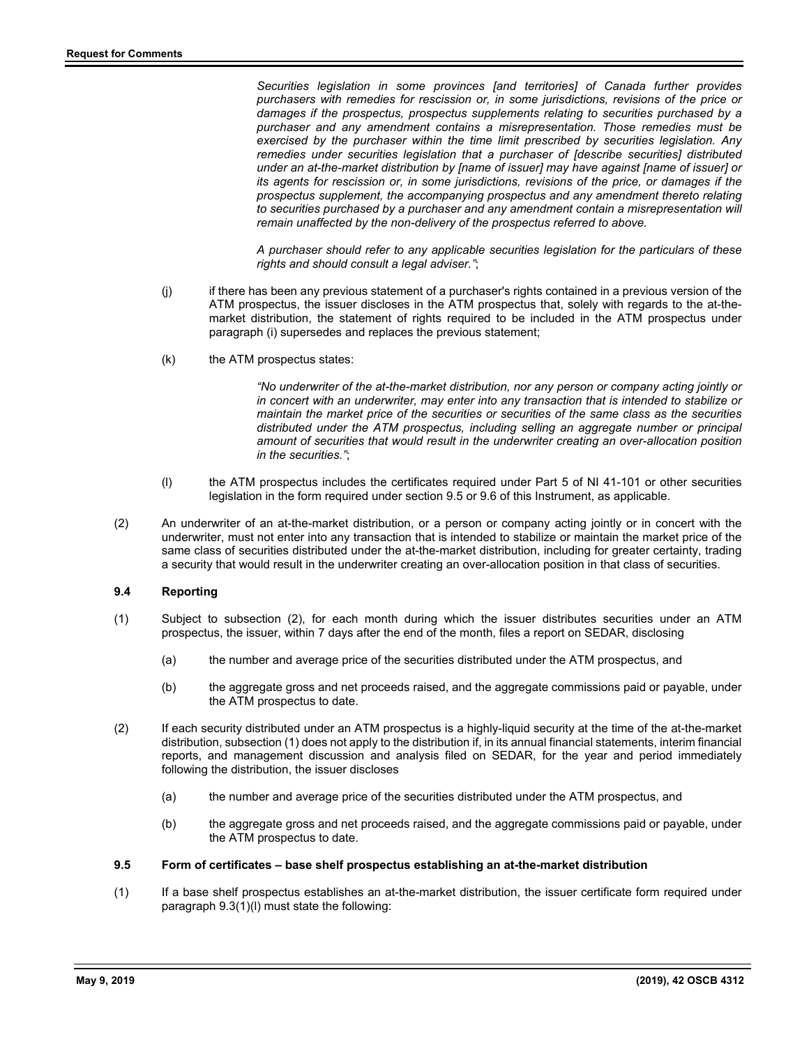*Securities legislation in some provinces [and territories] of Canada further provides purchasers with remedies for rescission or, in some jurisdictions, revisions of the price or damages if the prospectus, prospectus supplements relating to securities purchased by a purchaser and any amendment contains a misrepresentation. Those remedies must be exercised by the purchaser within the time limit prescribed by securities legislation. Any remedies under securities legislation that a purchaser of [describe securities] distributed under an at-the-market distribution by [name of issuer] may have against [name of issuer] or its agents for rescission or, in some jurisdictions, revisions of the price, or damages if the prospectus supplement, the accompanying prospectus and any amendment thereto relating*  to securities purchased by a purchaser and any amendment contain a misrepresentation will *remain unaffected by the non-delivery of the prospectus referred to above.* 

*A purchaser should refer to any applicable securities legislation for the particulars of these rights and should consult a legal adviser."*;

- (j) if there has been any previous statement of a purchaser's rights contained in a previous version of the ATM prospectus, the issuer discloses in the ATM prospectus that, solely with regards to the at-themarket distribution, the statement of rights required to be included in the ATM prospectus under paragraph (i) supersedes and replaces the previous statement;
- (k) the ATM prospectus states:

*"No underwriter of the at-the-market distribution, nor any person or company acting jointly or in concert with an underwriter, may enter into any transaction that is intended to stabilize or maintain the market price of the securities or securities of the same class as the securities distributed under the ATM prospectus, including selling an aggregate number or principal amount of securities that would result in the underwriter creating an over-allocation position in the securities."*;

- (l) the ATM prospectus includes the certificates required under Part 5 of NI 41-101 or other securities legislation in the form required under section 9.5 or 9.6 of this Instrument, as applicable.
- (2) An underwriter of an at-the-market distribution, or a person or company acting jointly or in concert with the underwriter, must not enter into any transaction that is intended to stabilize or maintain the market price of the same class of securities distributed under the at-the-market distribution, including for greater certainty, trading a security that would result in the underwriter creating an over-allocation position in that class of securities.

# **9.4 Reporting**

- (1) Subject to subsection (2), for each month during which the issuer distributes securities under an ATM prospectus, the issuer, within 7 days after the end of the month, files a report on SEDAR, disclosing
	- (a) the number and average price of the securities distributed under the ATM prospectus, and
	- (b) the aggregate gross and net proceeds raised, and the aggregate commissions paid or payable, under the ATM prospectus to date.
- (2) If each security distributed under an ATM prospectus is a highly-liquid security at the time of the at-the-market distribution, subsection (1) does not apply to the distribution if, in its annual financial statements, interim financial reports, and management discussion and analysis filed on SEDAR, for the year and period immediately following the distribution, the issuer discloses
	- (a) the number and average price of the securities distributed under the ATM prospectus, and
	- (b) the aggregate gross and net proceeds raised, and the aggregate commissions paid or payable, under the ATM prospectus to date.

# **9.5 Form of certificates – base shelf prospectus establishing an at-the-market distribution**

(1) If a base shelf prospectus establishes an at-the-market distribution, the issuer certificate form required under paragraph 9.3(1)(l) must state the following: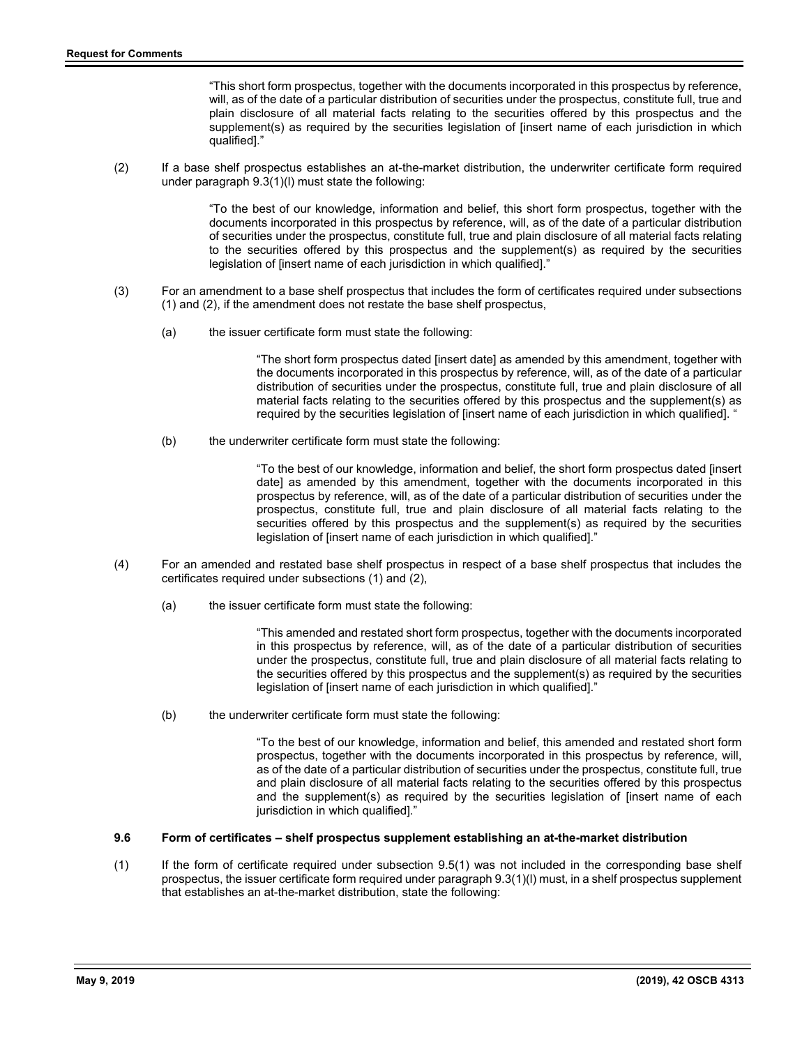"This short form prospectus, together with the documents incorporated in this prospectus by reference, will, as of the date of a particular distribution of securities under the prospectus, constitute full, true and plain disclosure of all material facts relating to the securities offered by this prospectus and the supplement(s) as required by the securities legislation of [insert name of each jurisdiction in which qualified]."

(2) If a base shelf prospectus establishes an at-the-market distribution, the underwriter certificate form required under paragraph 9.3(1)(l) must state the following:

> "To the best of our knowledge, information and belief, this short form prospectus, together with the documents incorporated in this prospectus by reference, will, as of the date of a particular distribution of securities under the prospectus, constitute full, true and plain disclosure of all material facts relating to the securities offered by this prospectus and the supplement(s) as required by the securities legislation of [insert name of each jurisdiction in which qualified]."

- (3) For an amendment to a base shelf prospectus that includes the form of certificates required under subsections (1) and (2), if the amendment does not restate the base shelf prospectus,
	- (a) the issuer certificate form must state the following:

"The short form prospectus dated [insert date] as amended by this amendment, together with the documents incorporated in this prospectus by reference, will, as of the date of a particular distribution of securities under the prospectus, constitute full, true and plain disclosure of all material facts relating to the securities offered by this prospectus and the supplement(s) as required by the securities legislation of [insert name of each jurisdiction in which qualified]. "

(b) the underwriter certificate form must state the following:

"To the best of our knowledge, information and belief, the short form prospectus dated [insert date] as amended by this amendment, together with the documents incorporated in this prospectus by reference, will, as of the date of a particular distribution of securities under the prospectus, constitute full, true and plain disclosure of all material facts relating to the securities offered by this prospectus and the supplement(s) as required by the securities legislation of [insert name of each jurisdiction in which qualified]."

- (4) For an amended and restated base shelf prospectus in respect of a base shelf prospectus that includes the certificates required under subsections (1) and (2),
	- (a) the issuer certificate form must state the following:

"This amended and restated short form prospectus, together with the documents incorporated in this prospectus by reference, will, as of the date of a particular distribution of securities under the prospectus, constitute full, true and plain disclosure of all material facts relating to the securities offered by this prospectus and the supplement(s) as required by the securities legislation of [insert name of each jurisdiction in which qualified]."

(b) the underwriter certificate form must state the following:

"To the best of our knowledge, information and belief, this amended and restated short form prospectus, together with the documents incorporated in this prospectus by reference, will, as of the date of a particular distribution of securities under the prospectus, constitute full, true and plain disclosure of all material facts relating to the securities offered by this prospectus and the supplement(s) as required by the securities legislation of [insert name of each jurisdiction in which qualified]."

# **9.6 Form of certificates – shelf prospectus supplement establishing an at-the-market distribution**

(1) If the form of certificate required under subsection 9.5(1) was not included in the corresponding base shelf prospectus, the issuer certificate form required under paragraph 9.3(1)(l) must, in a shelf prospectus supplement that establishes an at-the-market distribution, state the following: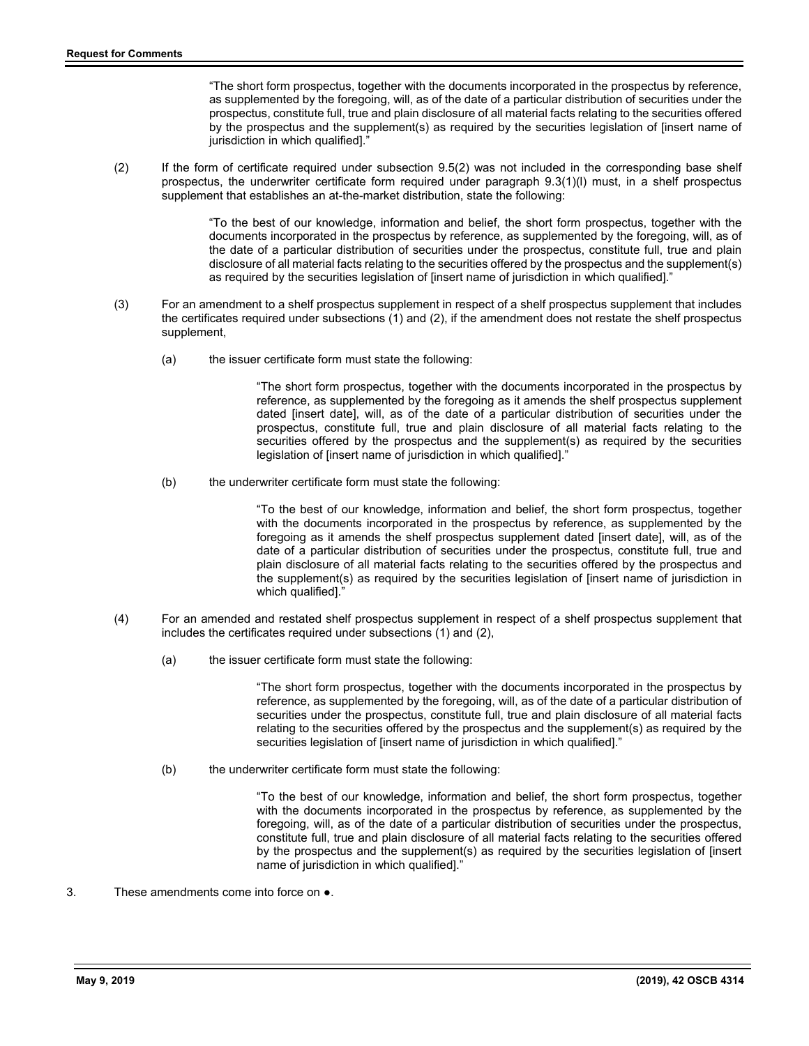"The short form prospectus, together with the documents incorporated in the prospectus by reference, as supplemented by the foregoing, will, as of the date of a particular distribution of securities under the prospectus, constitute full, true and plain disclosure of all material facts relating to the securities offered by the prospectus and the supplement(s) as required by the securities legislation of [insert name of jurisdiction in which qualified]."

(2) If the form of certificate required under subsection 9.5(2) was not included in the corresponding base shelf prospectus, the underwriter certificate form required under paragraph 9.3(1)(l) must, in a shelf prospectus supplement that establishes an at-the-market distribution, state the following:

> "To the best of our knowledge, information and belief, the short form prospectus, together with the documents incorporated in the prospectus by reference, as supplemented by the foregoing, will, as of the date of a particular distribution of securities under the prospectus, constitute full, true and plain disclosure of all material facts relating to the securities offered by the prospectus and the supplement(s) as required by the securities legislation of [insert name of jurisdiction in which qualified]."

- (3) For an amendment to a shelf prospectus supplement in respect of a shelf prospectus supplement that includes the certificates required under subsections (1) and (2), if the amendment does not restate the shelf prospectus supplement,
	- (a) the issuer certificate form must state the following:

"The short form prospectus, together with the documents incorporated in the prospectus by reference, as supplemented by the foregoing as it amends the shelf prospectus supplement dated [insert date], will, as of the date of a particular distribution of securities under the prospectus, constitute full, true and plain disclosure of all material facts relating to the securities offered by the prospectus and the supplement(s) as required by the securities legislation of [insert name of jurisdiction in which qualified]."

(b) the underwriter certificate form must state the following:

"To the best of our knowledge, information and belief, the short form prospectus, together with the documents incorporated in the prospectus by reference, as supplemented by the foregoing as it amends the shelf prospectus supplement dated [insert date], will, as of the date of a particular distribution of securities under the prospectus, constitute full, true and plain disclosure of all material facts relating to the securities offered by the prospectus and the supplement(s) as required by the securities legislation of [insert name of jurisdiction in which qualified]."

- (4) For an amended and restated shelf prospectus supplement in respect of a shelf prospectus supplement that includes the certificates required under subsections (1) and (2),
	- (a) the issuer certificate form must state the following:

"The short form prospectus, together with the documents incorporated in the prospectus by reference, as supplemented by the foregoing, will, as of the date of a particular distribution of securities under the prospectus, constitute full, true and plain disclosure of all material facts relating to the securities offered by the prospectus and the supplement(s) as required by the securities legislation of [insert name of jurisdiction in which qualified]."

(b) the underwriter certificate form must state the following:

"To the best of our knowledge, information and belief, the short form prospectus, together with the documents incorporated in the prospectus by reference, as supplemented by the foregoing, will, as of the date of a particular distribution of securities under the prospectus, constitute full, true and plain disclosure of all material facts relating to the securities offered by the prospectus and the supplement(s) as required by the securities legislation of [insert name of jurisdiction in which qualified]."

3. These amendments come into force on ●.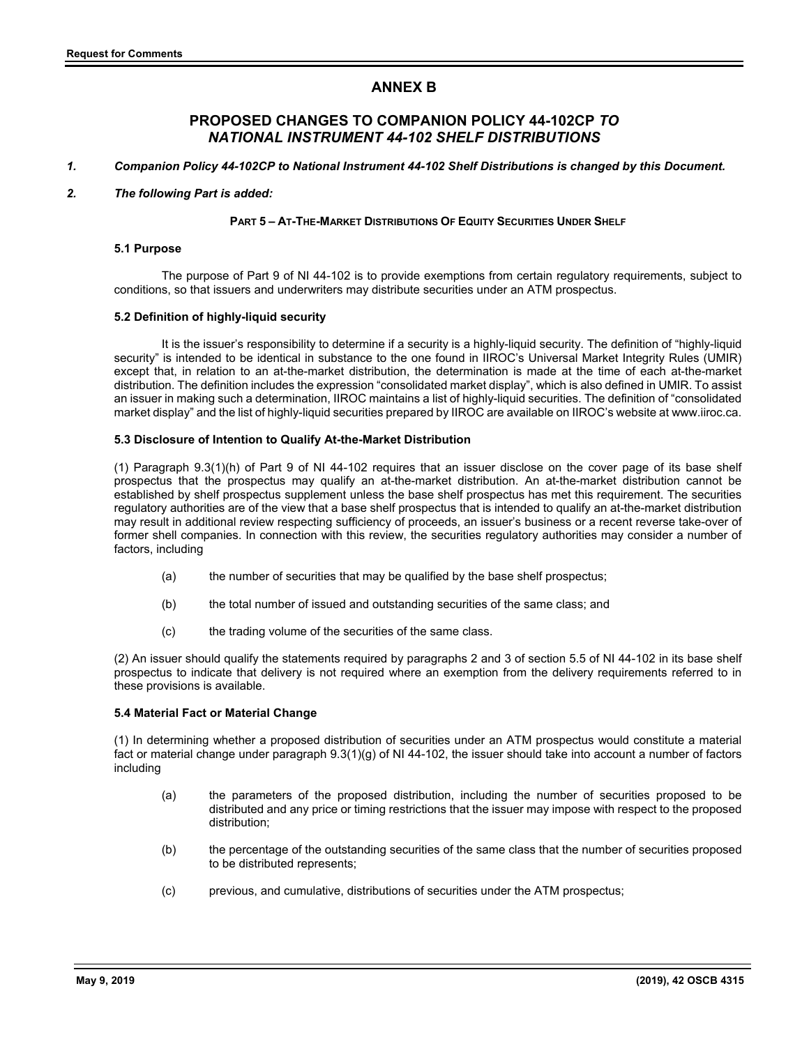# **ANNEX B**

# **PROPOSED CHANGES TO COMPANION POLICY 44-102CP** *TO NATIONAL INSTRUMENT 44-102 SHELF DISTRIBUTIONS*

### *1. Companion Policy 44-102CP to National Instrument 44-102 Shelf Distributions is changed by this Document.*

# *2. The following Part is added:*

### **PART 5 – AT-THE-MARKET DISTRIBUTIONS OF EQUITY SECURITIES UNDER SHELF**

### **5.1 Purpose**

 The purpose of Part 9 of NI 44-102 is to provide exemptions from certain regulatory requirements, subject to conditions, so that issuers and underwriters may distribute securities under an ATM prospectus.

### **5.2 Definition of highly-liquid security**

 It is the issuer's responsibility to determine if a security is a highly-liquid security. The definition of "highly-liquid security" is intended to be identical in substance to the one found in IIROC's Universal Market Integrity Rules (UMIR) except that, in relation to an at-the-market distribution, the determination is made at the time of each at-the-market distribution. The definition includes the expression "consolidated market display", which is also defined in UMIR. To assist an issuer in making such a determination, IIROC maintains a list of highly-liquid securities. The definition of "consolidated market display" and the list of highly-liquid securities prepared by IIROC are available on IIROC's website at www.iiroc.ca.

### **5.3 Disclosure of Intention to Qualify At-the-Market Distribution**

(1) Paragraph 9.3(1)(h) of Part 9 of NI 44-102 requires that an issuer disclose on the cover page of its base shelf prospectus that the prospectus may qualify an at-the-market distribution. An at-the-market distribution cannot be established by shelf prospectus supplement unless the base shelf prospectus has met this requirement. The securities regulatory authorities are of the view that a base shelf prospectus that is intended to qualify an at-the-market distribution may result in additional review respecting sufficiency of proceeds, an issuer's business or a recent reverse take-over of former shell companies. In connection with this review, the securities regulatory authorities may consider a number of factors, including

- (a) the number of securities that may be qualified by the base shelf prospectus;
- (b) the total number of issued and outstanding securities of the same class; and
- (c) the trading volume of the securities of the same class.

(2) An issuer should qualify the statements required by paragraphs 2 and 3 of section 5.5 of NI 44-102 in its base shelf prospectus to indicate that delivery is not required where an exemption from the delivery requirements referred to in these provisions is available.

#### **5.4 Material Fact or Material Change**

(1) In determining whether a proposed distribution of securities under an ATM prospectus would constitute a material fact or material change under paragraph 9.3(1)(g) of NI 44-102, the issuer should take into account a number of factors including

- (a) the parameters of the proposed distribution, including the number of securities proposed to be distributed and any price or timing restrictions that the issuer may impose with respect to the proposed distribution;
- (b) the percentage of the outstanding securities of the same class that the number of securities proposed to be distributed represents;
- (c) previous, and cumulative, distributions of securities under the ATM prospectus;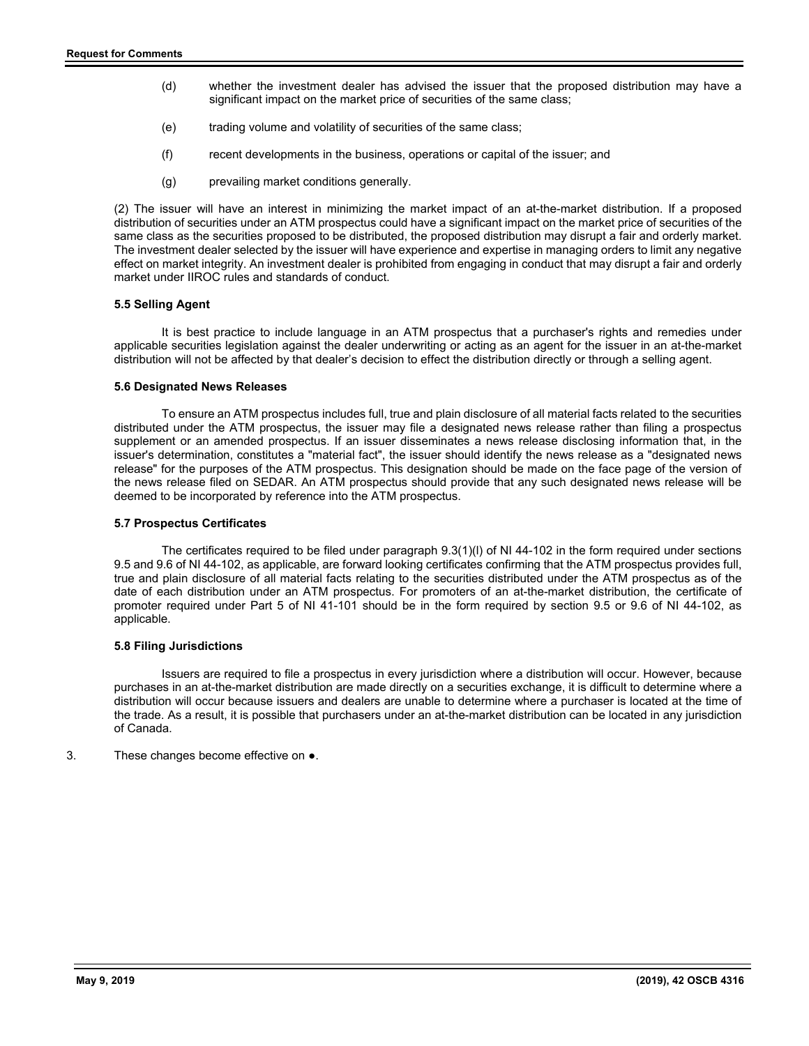- (d) whether the investment dealer has advised the issuer that the proposed distribution may have a significant impact on the market price of securities of the same class;
- (e) trading volume and volatility of securities of the same class;
- (f) recent developments in the business, operations or capital of the issuer; and
- (g) prevailing market conditions generally.

(2) The issuer will have an interest in minimizing the market impact of an at-the-market distribution. If a proposed distribution of securities under an ATM prospectus could have a significant impact on the market price of securities of the same class as the securities proposed to be distributed, the proposed distribution may disrupt a fair and orderly market. The investment dealer selected by the issuer will have experience and expertise in managing orders to limit any negative effect on market integrity. An investment dealer is prohibited from engaging in conduct that may disrupt a fair and orderly market under IIROC rules and standards of conduct.

### **5.5 Selling Agent**

It is best practice to include language in an ATM prospectus that a purchaser's rights and remedies under applicable securities legislation against the dealer underwriting or acting as an agent for the issuer in an at-the-market distribution will not be affected by that dealer's decision to effect the distribution directly or through a selling agent.

### **5.6 Designated News Releases**

 To ensure an ATM prospectus includes full, true and plain disclosure of all material facts related to the securities distributed under the ATM prospectus, the issuer may file a designated news release rather than filing a prospectus supplement or an amended prospectus. If an issuer disseminates a news release disclosing information that, in the issuer's determination, constitutes a "material fact", the issuer should identify the news release as a "designated news release" for the purposes of the ATM prospectus. This designation should be made on the face page of the version of the news release filed on SEDAR. An ATM prospectus should provide that any such designated news release will be deemed to be incorporated by reference into the ATM prospectus.

### **5.7 Prospectus Certificates**

 The certificates required to be filed under paragraph 9.3(1)(l) of NI 44-102 in the form required under sections 9.5 and 9.6 of NI 44-102, as applicable, are forward looking certificates confirming that the ATM prospectus provides full, true and plain disclosure of all material facts relating to the securities distributed under the ATM prospectus as of the date of each distribution under an ATM prospectus. For promoters of an at-the-market distribution, the certificate of promoter required under Part 5 of NI 41-101 should be in the form required by section 9.5 or 9.6 of NI 44-102, as applicable.

#### **5.8 Filing Jurisdictions**

 Issuers are required to file a prospectus in every jurisdiction where a distribution will occur. However, because purchases in an at-the-market distribution are made directly on a securities exchange, it is difficult to determine where a distribution will occur because issuers and dealers are unable to determine where a purchaser is located at the time of the trade. As a result, it is possible that purchasers under an at-the-market distribution can be located in any jurisdiction of Canada.

3. These changes become effective on ●.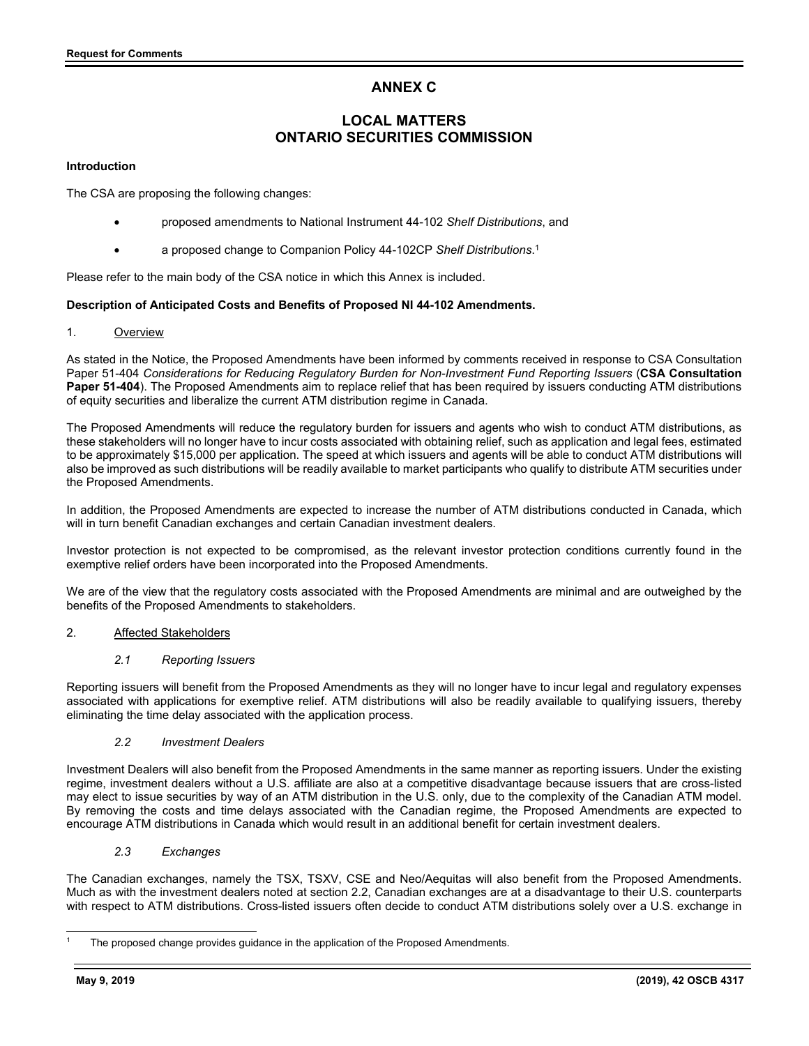# **ANNEX C**

# **LOCAL MATTERS ONTARIO SECURITIES COMMISSION**

# **Introduction**

The CSA are proposing the following changes:

- proposed amendments to National Instrument 44-102 *Shelf Distributions*, and
- a proposed change to Companion Policy 44-102CP *Shelf Distributions*. 1

Please refer to the main body of the CSA notice in which this Annex is included.

# **Description of Anticipated Costs and Benefits of Proposed NI 44-102 Amendments.**

# 1. Overview

As stated in the Notice, the Proposed Amendments have been informed by comments received in response to CSA Consultation Paper 51-404 *Considerations for Reducing Regulatory Burden for Non-Investment Fund Reporting Issuers* (**CSA Consultation Paper 51-404**). The Proposed Amendments aim to replace relief that has been required by issuers conducting ATM distributions of equity securities and liberalize the current ATM distribution regime in Canada.

The Proposed Amendments will reduce the regulatory burden for issuers and agents who wish to conduct ATM distributions, as these stakeholders will no longer have to incur costs associated with obtaining relief, such as application and legal fees, estimated to be approximately \$15,000 per application. The speed at which issuers and agents will be able to conduct ATM distributions will also be improved as such distributions will be readily available to market participants who qualify to distribute ATM securities under the Proposed Amendments.

In addition, the Proposed Amendments are expected to increase the number of ATM distributions conducted in Canada, which will in turn benefit Canadian exchanges and certain Canadian investment dealers.

Investor protection is not expected to be compromised, as the relevant investor protection conditions currently found in the exemptive relief orders have been incorporated into the Proposed Amendments.

We are of the view that the regulatory costs associated with the Proposed Amendments are minimal and are outweighed by the benefits of the Proposed Amendments to stakeholders.

# 2. Affected Stakeholders

# *2.1 Reporting Issuers*

Reporting issuers will benefit from the Proposed Amendments as they will no longer have to incur legal and regulatory expenses associated with applications for exemptive relief. ATM distributions will also be readily available to qualifying issuers, thereby eliminating the time delay associated with the application process.

# *2.2 Investment Dealers*

Investment Dealers will also benefit from the Proposed Amendments in the same manner as reporting issuers. Under the existing regime, investment dealers without a U.S. affiliate are also at a competitive disadvantage because issuers that are cross-listed may elect to issue securities by way of an ATM distribution in the U.S. only, due to the complexity of the Canadian ATM model. By removing the costs and time delays associated with the Canadian regime, the Proposed Amendments are expected to encourage ATM distributions in Canada which would result in an additional benefit for certain investment dealers.

*2.3 Exchanges* 

The Canadian exchanges, namely the TSX, TSXV, CSE and Neo/Aequitas will also benefit from the Proposed Amendments. Much as with the investment dealers noted at section 2.2, Canadian exchanges are at a disadvantage to their U.S. counterparts with respect to ATM distributions. Cross-listed issuers often decide to conduct ATM distributions solely over a U.S. exchange in

l

<sup>1</sup> The proposed change provides guidance in the application of the Proposed Amendments.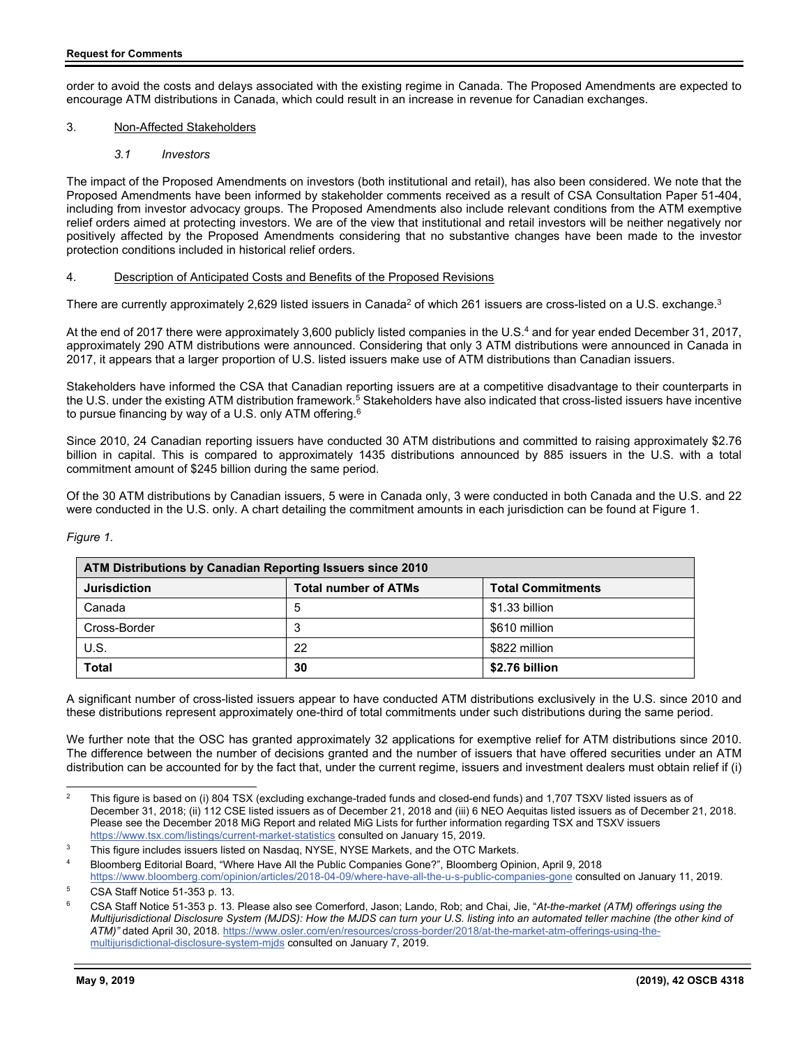order to avoid the costs and delays associated with the existing regime in Canada. The Proposed Amendments are expected to encourage ATM distributions in Canada, which could result in an increase in revenue for Canadian exchanges.

# 3. Non-Affected Stakeholders

*3.1 Investors* 

The impact of the Proposed Amendments on investors (both institutional and retail), has also been considered. We note that the Proposed Amendments have been informed by stakeholder comments received as a result of CSA Consultation Paper 51-404, including from investor advocacy groups. The Proposed Amendments also include relevant conditions from the ATM exemptive relief orders aimed at protecting investors. We are of the view that institutional and retail investors will be neither negatively nor positively affected by the Proposed Amendments considering that no substantive changes have been made to the investor protection conditions included in historical relief orders.

# 4. Description of Anticipated Costs and Benefits of the Proposed Revisions

There are currently approximately 2,629 listed issuers in Canada<sup>2</sup> of which 261 issuers are cross-listed on a U.S. exchange.<sup>3</sup>

At the end of 2017 there were approximately 3,600 publicly listed companies in the U.S.<sup>4</sup> and for year ended December 31, 2017, approximately 290 ATM distributions were announced. Considering that only 3 ATM distributions were announced in Canada in 2017, it appears that a larger proportion of U.S. listed issuers make use of ATM distributions than Canadian issuers.

Stakeholders have informed the CSA that Canadian reporting issuers are at a competitive disadvantage to their counterparts in the U.S. under the existing ATM distribution framework.<sup>5</sup> Stakeholders have also indicated that cross-listed issuers have incentive to pursue financing by way of a U.S. only ATM offering.6

Since 2010, 24 Canadian reporting issuers have conducted 30 ATM distributions and committed to raising approximately \$2.76 billion in capital. This is compared to approximately 1435 distributions announced by 885 issuers in the U.S. with a total commitment amount of \$245 billion during the same period.

Of the 30 ATM distributions by Canadian issuers, 5 were in Canada only, 3 were conducted in both Canada and the U.S. and 22 were conducted in the U.S. only. A chart detailing the commitment amounts in each jurisdiction can be found at Figure 1.

*Figure 1.* 

| ATM Distributions by Canadian Reporting Issuers since 2010 |                             |                          |
|------------------------------------------------------------|-----------------------------|--------------------------|
| <b>Jurisdiction</b>                                        | <b>Total number of ATMs</b> | <b>Total Commitments</b> |
| Canada                                                     | b                           | \$1.33 billion           |
| Cross-Border                                               | د                           | \$610 million            |
| U.S.                                                       | 22                          | \$822 million            |
| <b>Total</b>                                               | 30                          | \$2.76 billion           |

A significant number of cross-listed issuers appear to have conducted ATM distributions exclusively in the U.S. since 2010 and these distributions represent approximately one-third of total commitments under such distributions during the same period.

We further note that the OSC has granted approximately 32 applications for exemptive relief for ATM distributions since 2010. The difference between the number of decisions granted and the number of issuers that have offered securities under an ATM distribution can be accounted for by the fact that, under the current regime, issuers and investment dealers must obtain relief if (i)

 $\frac{1}{2}$  This figure is based on (i) 804 TSX (excluding exchange-traded funds and closed-end funds) and 1,707 TSXV listed issuers as of December 31, 2018; (ii) 112 CSE listed issuers as of December 21, 2018 and (iii) 6 NEO Aequitas listed issuers as of December 21, 2018. Please see the December 2018 MiG Report and related MiG Lists for further information regarding TSX and TSXV issuers https://www.tsx.com/listings/current-market-statistics consulted on January 15, 2019.

<sup>3</sup> This figure includes issuers listed on Nasdaq, NYSE, NYSE Markets, and the OTC Markets.

<sup>4</sup> Bloomberg Editorial Board, "Where Have All the Public Companies Gone?", Bloomberg Opinion, April 9, 2018 https://www.bloomberg.com/opinion/articles/2018-04-09/where-have-all-the-u-s-public-companies-gone consulted on January 11, 2019.

<sup>5</sup> CSA Staff Notice 51-353 p. 13.

<sup>6</sup> CSA Staff Notice 51-353 p. 13. Please also see Comerford, Jason; Lando, Rob; and Chai, Jie, "*At-the-market (ATM) offerings using the Multijurisdictional Disclosure System (MJDS): How the MJDS can turn your U.S. listing into an automated teller machine (the other kind of ATM)"* dated April 30, 2018. https://www.osler.com/en/resources/cross-border/2018/at-the-market-atm-offerings-using-themultijurisdictional-disclosure-system-mjds consulted on January 7, 2019.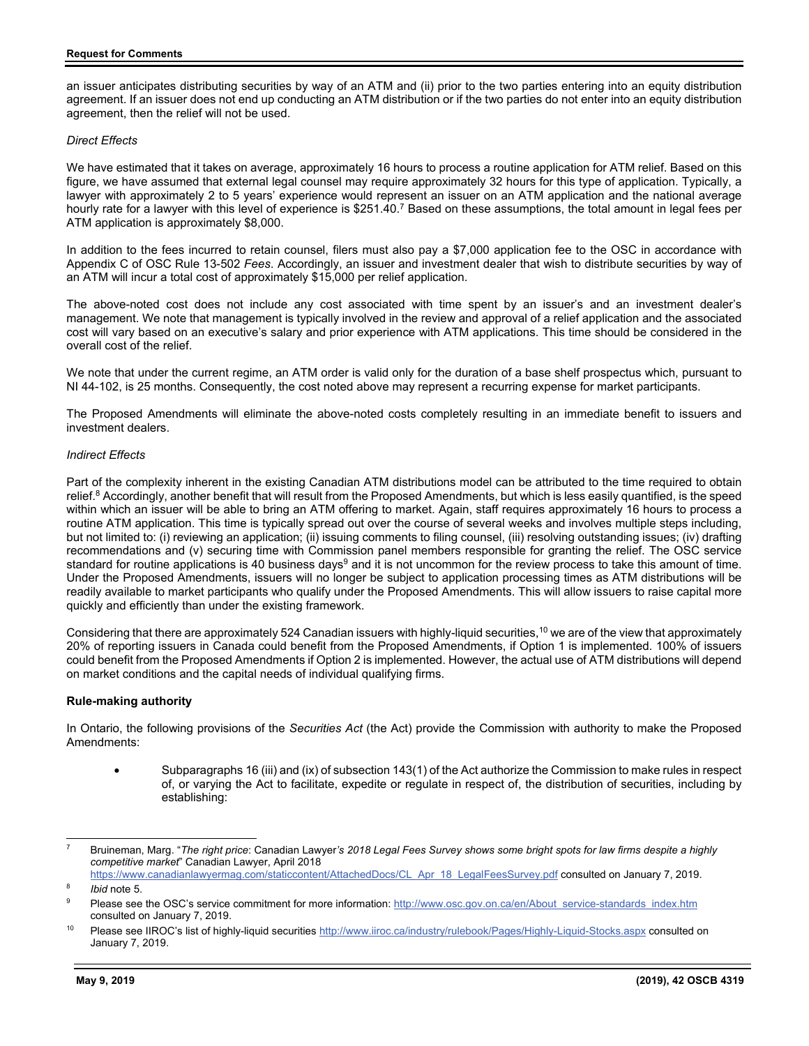an issuer anticipates distributing securities by way of an ATM and (ii) prior to the two parties entering into an equity distribution agreement. If an issuer does not end up conducting an ATM distribution or if the two parties do not enter into an equity distribution agreement, then the relief will not be used.

### *Direct Effects*

We have estimated that it takes on average, approximately 16 hours to process a routine application for ATM relief. Based on this figure, we have assumed that external legal counsel may require approximately 32 hours for this type of application. Typically, a lawyer with approximately 2 to 5 years' experience would represent an issuer on an ATM application and the national average hourly rate for a lawyer with this level of experience is \$251.40.<sup>7</sup> Based on these assumptions, the total amount in legal fees per ATM application is approximately \$8,000.

In addition to the fees incurred to retain counsel, filers must also pay a \$7,000 application fee to the OSC in accordance with Appendix C of OSC Rule 13-502 *Fees*. Accordingly, an issuer and investment dealer that wish to distribute securities by way of an ATM will incur a total cost of approximately \$15,000 per relief application.

The above-noted cost does not include any cost associated with time spent by an issuer's and an investment dealer's management. We note that management is typically involved in the review and approval of a relief application and the associated cost will vary based on an executive's salary and prior experience with ATM applications. This time should be considered in the overall cost of the relief.

We note that under the current regime, an ATM order is valid only for the duration of a base shelf prospectus which, pursuant to NI 44-102, is 25 months. Consequently, the cost noted above may represent a recurring expense for market participants.

The Proposed Amendments will eliminate the above-noted costs completely resulting in an immediate benefit to issuers and investment dealers.

### *Indirect Effects*

Part of the complexity inherent in the existing Canadian ATM distributions model can be attributed to the time required to obtain relief.8 Accordingly, another benefit that will result from the Proposed Amendments, but which is less easily quantified, is the speed within which an issuer will be able to bring an ATM offering to market. Again, staff requires approximately 16 hours to process a routine ATM application. This time is typically spread out over the course of several weeks and involves multiple steps including, but not limited to: (i) reviewing an application; (ii) issuing comments to filing counsel, (iii) resolving outstanding issues; (iv) drafting recommendations and (v) securing time with Commission panel members responsible for granting the relief. The OSC service standard for routine applications is 40 business days<sup>9</sup> and it is not uncommon for the review process to take this amount of time. Under the Proposed Amendments, issuers will no longer be subject to application processing times as ATM distributions will be readily available to market participants who qualify under the Proposed Amendments. This will allow issuers to raise capital more quickly and efficiently than under the existing framework.

Considering that there are approximately 524 Canadian issuers with highly-liquid securities,<sup>10</sup> we are of the view that approximately 20% of reporting issuers in Canada could benefit from the Proposed Amendments, if Option 1 is implemented. 100% of issuers could benefit from the Proposed Amendments if Option 2 is implemented. However, the actual use of ATM distributions will depend on market conditions and the capital needs of individual qualifying firms.

# **Rule-making authority**

In Ontario, the following provisions of the *Securities Act* (the Act) provide the Commission with authority to make the Proposed Amendments:

 Subparagraphs 16 (iii) and (ix) of subsection 143(1) of the Act authorize the Commission to make rules in respect of, or varying the Act to facilitate, expedite or regulate in respect of, the distribution of securities, including by establishing:

l

<sup>7</sup> Bruineman, Marg. "*The right price*: Canadian Lawyer*'s 2018 Legal Fees Survey shows some bright spots for law firms despite a highly competitive market*" Canadian Lawyer, April 2018

https://www.canadianlawyermag.com/staticcontent/AttachedDocs/CL\_Apr\_18\_LegalFeesSurvey.pdf consulted on January 7, 2019. 8 *Ibid* note 5.

<sup>9</sup> Please see the OSC's service commitment for more information: http://www.osc.gov.on.ca/en/About\_service-standards\_index.htm consulted on January 7, 2019.

Please see IIROC's list of highly-liquid securities http://www.iiroc.ca/industry/rulebook/Pages/Highly-Liquid-Stocks.aspx consulted on January 7, 2019.